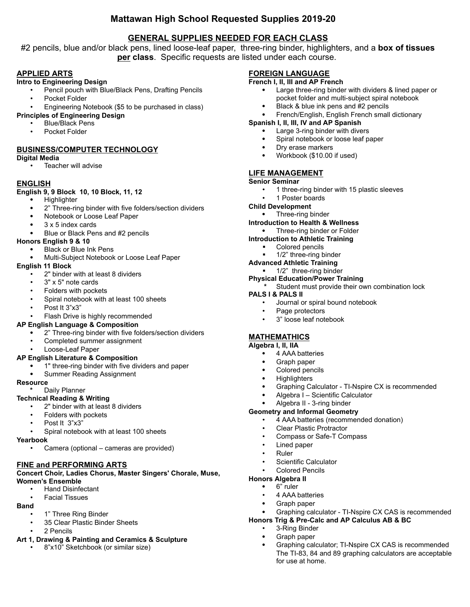# **Mattawan High School Requested Supplies 2019-20**

# **GENERAL SUPPLIES NEEDED FOR EACH CLASS**

#2 pencils, blue and/or black pens, lined loose-leaf paper, three-ring binder, highlighters, and a **box of tissues per class**. Specific requests are listed under each course.

## **APPLIED ARTS**

### **Intro to Engineering Design**

- Pencil pouch with Blue/Black Pens, Drafting Pencils
- Pocket Folder
- Engineering Notebook (\$5 to be purchased in class)

### **Principles of Engineering Design**

- Blue/Black Pens
- Pocket Folder

## **BUSINESS/COMPUTER TECHNOLOGY**

### **Digital Media**

• Teacher will advise

### **ENGLISH**

### **English 9, 9 Block 10, 10 Block, 11, 12**

- Highlighter
- 2" Three-ring binder with five folders/section dividers
- Notebook or Loose Leaf Paper
- 3 x 5 index cards
- Blue or Black Pens and #2 pencils

### **Honors English 9 & 10**

- Black or Blue Ink Pens
- Multi-Subject Notebook or Loose Leaf Paper

## **English 11 Block**

- 2" binder with at least 8 dividers
- 3" x 5" note cards
- Folders with pockets
- Spiral notebook with at least 100 sheets
- Post It 3"x3"

### Flash Drive is highly recommended

- **AP English Language & Composition**
	- 2" Three-ring binder with five folders/section dividers
	- Completed summer assignment
	- Loose-Leaf Paper

### **AP English Literature & Composition**

- 1" three-ring binder with five dividers and paper
- Summer Reading Assignment

### **Resource**

### **Daily Planner**

### **Technical Reading & Writing**

- 2" binder with at least 8 dividers
- Folders with pockets
- Post It 3"x3"
- Spiral notebook with at least 100 sheets

#### **Yearbook**

• Camera (optional – cameras are provided)

## **FINE and PERFORMING ARTS**

#### **Concert Choir, Ladies Chorus, Master Singers' Chorale, Muse, Women's Ensemble**

- Hand Disinfectant
- Facial Tissues

#### **Band**

- 1" Three Ring Binder
- 35 Clear Plastic Binder Sheets
- 2 Pencils
- **Art 1, Drawing & Painting and Ceramics & Sculpture**
	- 8"x10" Sketchbook (or similar size)

## **FOREIGN LANGUAGE**

### **French I, II, III and AP French**

- Large three-ring binder with dividers & lined paper or pocket folder and multi-subject spiral notebook
- Black & blue ink pens and #2 pencils
- French/English, English French small dictionary

## **Spanish I, II, III, IV and AP Spanish**

- Large 3-ring binder with divers
- Spiral notebook or loose leaf paper
- Dry erase markers
- Workbook (\$10.00 if used)

# **LIFE MANAGEMENT**

## **Senior Seminar**

- 1 three-ring binder with 15 plastic sleeves
- 1 Poster boards
- **Child Development**
- Three-ring binder
- **Introduction to Health & Wellness**
	- Three-ring binder or Folder
- **Introduction to Athletic Training**
	- ! Colored pencils
	- 1/2" three-ring binder
- **Advanced Athletic Training**
	- $\blacksquare$  1/2" three-ring binder
- **Physical Education/Power Training \*** Student must provide their own combination lock

## **PALS I & PALS II**

- Journal or spiral bound notebook
- Page protectors
- 3" loose leaf notebook

# **MATHEMATHICS**

## **Algebra I, II, IIA**

- 4 AAA batteries
- Graph paper
- Colored pencils
- **Highlighters**
- Graphing Calculator TI-Nspire CX is recommended

Graphing calculator - TI-Nspire CX CAS is recommended

 Graphing calculator; TI-Nspire CX CAS is recommended The TI-83, 84 and 89 graphing calculators are acceptable

Algebra I – Scientific Calculator

## Algebra II - 3-ring binder

Colored Pencils

• 4 AAA batteries Graph paper

• 3-Ring Binder Graph paper

for use at home.

## **Geometry and Informal Geometry**

• 4 AAA batteries (recommended donation)

**Honors Trig & Pre-Calc and AP Calculus AB & BC**

- Clear Plastic Protractor
- Compass or Safe-T Compass
- Lined paper
- Ruler • Scientific Calculator

**Honors Algebra II** 6" ruler